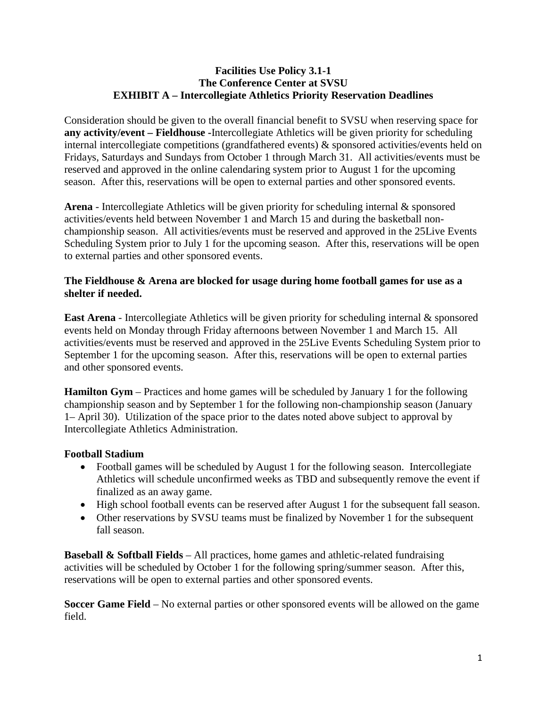## **Facilities Use Policy 3.1-1 The Conference Center at SVSU EXHIBIT A – Intercollegiate Athletics Priority Reservation Deadlines**

Consideration should be given to the overall financial benefit to SVSU when reserving space for **any activity/event – Fieldhouse -**Intercollegiate Athletics will be given priority for scheduling internal intercollegiate competitions (grandfathered events) & sponsored activities/events held on Fridays, Saturdays and Sundays from October 1 through March 31. All activities/events must be reserved and approved in the online calendaring system prior to August 1 for the upcoming season. After this, reservations will be open to external parties and other sponsored events.

**Arena** - Intercollegiate Athletics will be given priority for scheduling internal & sponsored activities/events held between November 1 and March 15 and during the basketball nonchampionship season. All activities/events must be reserved and approved in the 25Live Events Scheduling System prior to July 1 for the upcoming season. After this, reservations will be open to external parties and other sponsored events.

## **The Fieldhouse & Arena are blocked for usage during home football games for use as a shelter if needed.**

**East Arena** - Intercollegiate Athletics will be given priority for scheduling internal & sponsored events held on Monday through Friday afternoons between November 1 and March 15. All activities/events must be reserved and approved in the 25Live Events Scheduling System prior to September 1 for the upcoming season. After this, reservations will be open to external parties and other sponsored events.

**Hamilton Gym** – Practices and home games will be scheduled by January 1 for the following championship season and by September 1 for the following non-championship season (January 1– April 30). Utilization of the space prior to the dates noted above subject to approval by Intercollegiate Athletics Administration.

## **Football Stadium**

- Football games will be scheduled by August 1 for the following season. Intercollegiate Athletics will schedule unconfirmed weeks as TBD and subsequently remove the event if finalized as an away game.
- High school football events can be reserved after August 1 for the subsequent fall season.
- Other reservations by SVSU teams must be finalized by November 1 for the subsequent fall season.

**Baseball & Softball Fields** – All practices, home games and athletic-related fundraising activities will be scheduled by October 1 for the following spring/summer season. After this, reservations will be open to external parties and other sponsored events.

**Soccer Game Field** – No external parties or other sponsored events will be allowed on the game field.